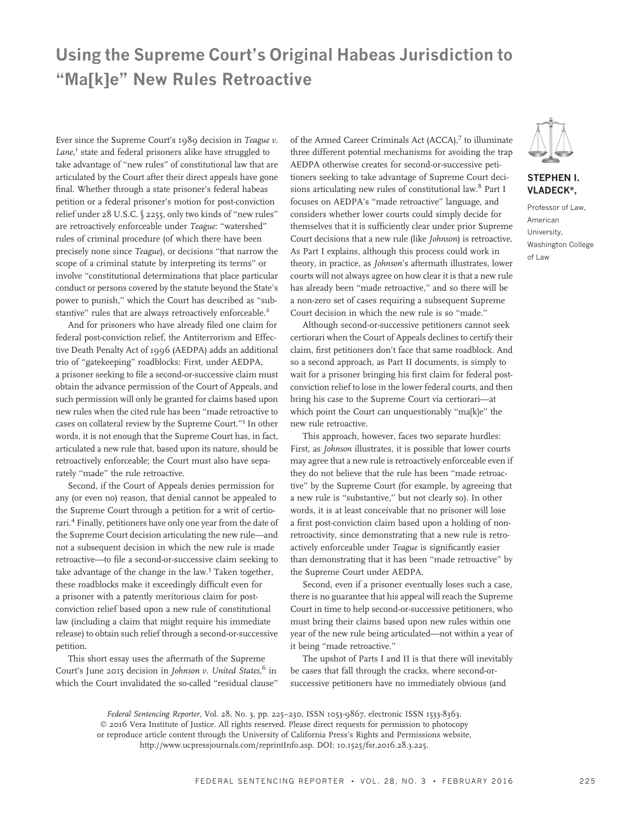# Using the Supreme Court's Original Habeas Jurisdiction to ''Ma[k]e'' New Rules Retroactive

Ever since the Supreme Court's 1989 decision in Teague v. Lane,<sup>1</sup> state and federal prisoners alike have struggled to take advantage of ''new rules'' of constitutional law that are articulated by the Court after their direct appeals have gone final. Whether through a state prisoner's federal habeas petition or a federal prisoner's motion for post-conviction relief under 28 U.S.C. § 2255, only two kinds of ''new rules'' are retroactively enforceable under Teague: ''watershed'' rules of criminal procedure (of which there have been precisely none since Teague), or decisions ''that narrow the scope of a criminal statute by interpreting its terms'' or involve ''constitutional determinations that place particular conduct or persons covered by the statute beyond the State's power to punish,'' which the Court has described as ''substantive" rules that are always retroactively enforceable.<sup>2</sup>

And for prisoners who have already filed one claim for federal post-conviction relief, the Antiterrorism and Effective Death Penalty Act of 1996 (AEDPA) adds an additional trio of ''gatekeeping'' roadblocks: First, under AEDPA, a prisoner seeking to file a second-or-successive claim must obtain the advance permission of the Court of Appeals, and such permission will only be granted for claims based upon new rules when the cited rule has been ''made retroactive to cases on collateral review by the Supreme Court.''<sup>3</sup> In other words, it is not enough that the Supreme Court has, in fact, articulated a new rule that, based upon its nature, should be retroactively enforceable; the Court must also have separately "made" the rule retroactive.

Second, if the Court of Appeals denies permission for any (or even no) reason, that denial cannot be appealed to the Supreme Court through a petition for a writ of certiorari.4 Finally, petitioners have only one year from the date of the Supreme Court decision articulating the new rule—and not a subsequent decision in which the new rule is made retroactive—to file a second-or-successive claim seeking to take advantage of the change in the law.<sup>5</sup> Taken together, these roadblocks make it exceedingly difficult even for a prisoner with a patently meritorious claim for postconviction relief based upon a new rule of constitutional law (including a claim that might require his immediate release) to obtain such relief through a second-or-successive petition.

This short essay uses the aftermath of the Supreme Court's June 2015 decision in Johnson v. United States,<sup>6</sup> in which the Court invalidated the so-called ''residual clause''

of the Armed Career Criminals Act (ACCA),<sup>7</sup> to illuminate three different potential mechanisms for avoiding the trap AEDPA otherwise creates for second-or-successive petitioners seeking to take advantage of Supreme Court decisions articulating new rules of constitutional law.<sup>8</sup> Part I focuses on AEDPA's ''made retroactive'' language, and considers whether lower courts could simply decide for themselves that it is sufficiently clear under prior Supreme Court decisions that a new rule (like Johnson) is retroactive. As Part I explains, although this process could work in theory, in practice, as Johnson's aftermath illustrates, lower courts will not always agree on how clear it is that a new rule has already been "made retroactive," and so there will be a non-zero set of cases requiring a subsequent Supreme Court decision in which the new rule is so ''made.''

Although second-or-successive petitioners cannot seek certiorari when the Court of Appeals declines to certify their claim, first petitioners don't face that same roadblock. And so a second approach, as Part II documents, is simply to wait for a prisoner bringing his first claim for federal postconviction relief to lose in the lower federal courts, and then bring his case to the Supreme Court via certiorari—at which point the Court can unquestionably "ma[k]e" the new rule retroactive.

This approach, however, faces two separate hurdles: First, as Johnson illustrates, it is possible that lower courts may agree that a new rule is retroactively enforceable even if they do not believe that the rule has been ''made retroactive'' by the Supreme Court (for example, by agreeing that a new rule is ''substantive,'' but not clearly so). In other words, it is at least conceivable that no prisoner will lose a first post-conviction claim based upon a holding of nonretroactivity, since demonstrating that a new rule is retroactively enforceable under Teague is significantly easier than demonstrating that it has been ''made retroactive'' by the Supreme Court under AEDPA.

Second, even if a prisoner eventually loses such a case, there is no guarantee that his appeal will reach the Supreme Court in time to help second-or-successive petitioners, who must bring their claims based upon new rules within one year of the new rule being articulated—not within a year of it being ''made retroactive.''

The upshot of Parts I and II is that there will inevitably be cases that fall through the cracks, where second-orsuccessive petitioners have no immediately obvious (and

Federal Sentencing Reporter, Vol. 28, No. 3, pp. 225–230, ISSN 1053-9867, electronic ISSN 1533-8363. © 2016 Vera Institute of Justice. All rights reserved. Please direct requests for permission to photocopy or reproduce article content through the University of California Press's Rights and Permissions website,

http://www.ucpressjournals.com/reprintInfo.asp. DOI: 10.1525/fsr.2016.28.3.225.



## STEPHEN I. VLADECK\*,

Professor of Law, American University, Washington College of Law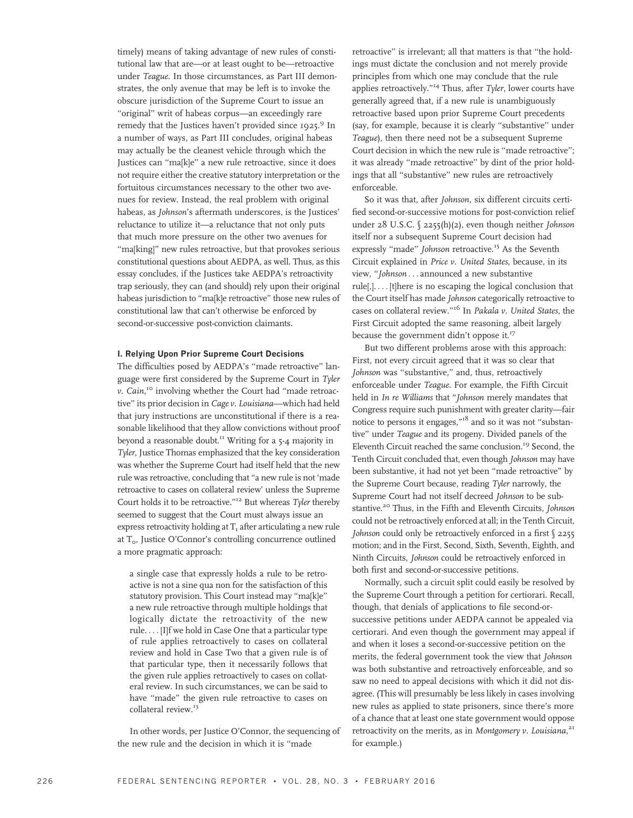timely) means of taking advantage of new rules of constitutional law that are—or at least ought to be—retroactive under Teague. In those circumstances, as Part III demonstrates, the only avenue that may be left is to invoke the obscure jurisdiction of the Supreme Court to issue an "original" writ of habeas corpus-an exceedingly rare remedy that the Justices haven't provided since 1925.<sup>9</sup> In a number of ways, as Part III concludes, original habeas may actually be the cleanest vehicle through which the Justices can ''ma[k]e'' a new rule retroactive, since it does not require either the creative statutory interpretation or the fortuitous circumstances necessary to the other two avenues for review. Instead, the real problem with original habeas, as Johnson's aftermath underscores, is the Justices' reluctance to utilize it—a reluctance that not only puts that much more pressure on the other two avenues for "ma[king]" new rules retroactive, but that provokes serious constitutional questions about AEDPA, as well. Thus, as this essay concludes, if the Justices take AEDPA's retroactivity trap seriously, they can (and should) rely upon their original habeas jurisdiction to "ma[k]e retroactive" those new rules of constitutional law that can't otherwise be enforced by second-or-successive post-conviction claimants.

#### I. Relying Upon Prior Supreme Court Decisions

The difficulties posed by AEDPA's ''made retroactive'' language were first considered by the Supreme Court in Tyler v. Cain,<sup>10</sup> involving whether the Court had "made retroactive'' its prior decision in Cage v. Louisiana—which had held that jury instructions are unconstitutional if there is a reasonable likelihood that they allow convictions without proof beyond a reasonable doubt.<sup>11</sup> Writing for a 5-4 majority in Tyler, Justice Thomas emphasized that the key consideration was whether the Supreme Court had itself held that the new rule was retroactive, concluding that ''a new rule is not 'made retroactive to cases on collateral review' unless the Supreme Court holds it to be retroactive."<sup>12</sup> But whereas Tyler thereby seemed to suggest that the Court must always issue an express retroactivity holding at  $T<sub>1</sub>$  after articulating a new rule at  $T_{\rm o}$ , Justice O'Connor's controlling concurrence outlined a more pragmatic approach:

a single case that expressly holds a rule to be retroactive is not a sine qua non for the satisfaction of this statutory provision. This Court instead may ''ma[k]e'' a new rule retroactive through multiple holdings that logically dictate the retroactivity of the new rule. ... [I]f we hold in Case One that a particular type of rule applies retroactively to cases on collateral review and hold in Case Two that a given rule is of that particular type, then it necessarily follows that the given rule applies retroactively to cases on collateral review. In such circumstances, we can be said to have "made" the given rule retroactive to cases on collateral review.<sup>13</sup>

In other words, per Justice O'Connor, the sequencing of the new rule and the decision in which it is ''made

retroactive'' is irrelevant; all that matters is that ''the holdings must dictate the conclusion and not merely provide principles from which one may conclude that the rule applies retroactively."<sup>14</sup> Thus, after Tyler, lower courts have generally agreed that, if a new rule is unambiguously retroactive based upon prior Supreme Court precedents (say, for example, because it is clearly ''substantive'' under Teague), then there need not be a subsequent Supreme Court decision in which the new rule is ''made retroactive''; it was already ''made retroactive'' by dint of the prior holdings that all ''substantive'' new rules are retroactively enforceable.

So it was that, after Johnson, six different circuits certified second-or-successive motions for post-conviction relief under 28 U.S.C. § 2255(h)(2), even though neither Johnson itself nor a subsequent Supreme Court decision had expressly "made" Johnson retroactive.<sup>15</sup> As the Seventh Circuit explained in Price v. United States, because, in its view, ''Johnson ... announced a new substantive rule[,]. ... [t]here is no escaping the logical conclusion that the Court itself has made Johnson categorically retroactive to cases on collateral review."<sup>16</sup> In Pakala v. United States, the First Circuit adopted the same reasoning, albeit largely because the government didn't oppose it.<sup>17</sup>

But two different problems arose with this approach: First, not every circuit agreed that it was so clear that Johnson was ''substantive,'' and, thus, retroactively enforceable under Teague. For example, the Fifth Circuit held in In re Williams that ''Johnson merely mandates that Congress require such punishment with greater clarity—fair notice to persons it engages,"<sup>18</sup> and so it was not "substantive'' under Teague and its progeny. Divided panels of the Eleventh Circuit reached the same conclusion.19 Second, the Tenth Circuit concluded that, even though Johnson may have been substantive, it had not yet been ''made retroactive'' by the Supreme Court because, reading Tyler narrowly, the Supreme Court had not itself decreed Johnson to be substantive.<sup>20</sup> Thus, in the Fifth and Eleventh Circuits, Johnson could not be retroactively enforced at all; in the Tenth Circuit, Johnson could only be retroactively enforced in a first § 2255 motion; and in the First, Second, Sixth, Seventh, Eighth, and Ninth Circuits, Johnson could be retroactively enforced in both first and second-or-successive petitions.

Normally, such a circuit split could easily be resolved by the Supreme Court through a petition for certiorari. Recall, though, that denials of applications to file second-orsuccessive petitions under AEDPA cannot be appealed via certiorari. And even though the government may appeal if and when it loses a second-or-successive petition on the merits, the federal government took the view that Johnson was both substantive and retroactively enforceable, and so saw no need to appeal decisions with which it did not disagree. (This will presumably be less likely in cases involving new rules as applied to state prisoners, since there's more of a chance that at least one state government would oppose retroactivity on the merits, as in Montgomery v. Louisiana,<sup>21</sup> for example.)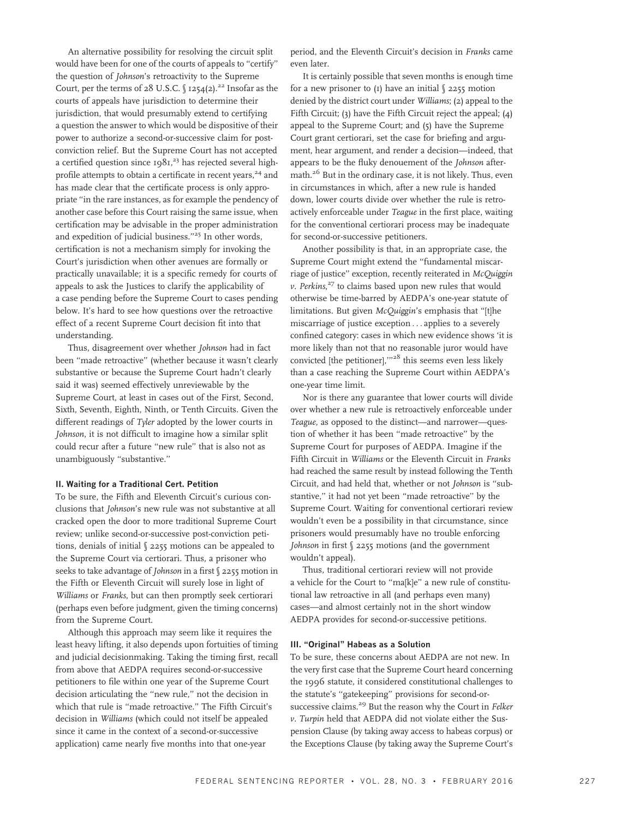An alternative possibility for resolving the circuit split would have been for one of the courts of appeals to ''certify'' the question of Johnson's retroactivity to the Supreme Court, per the terms of 28 U.S.C.  $\int$  1254(2).<sup>22</sup> Insofar as the courts of appeals have jurisdiction to determine their jurisdiction, that would presumably extend to certifying a question the answer to which would be dispositive of their power to authorize a second-or-successive claim for postconviction relief. But the Supreme Court has not accepted a certified question since  $1981<sup>23</sup>$  has rejected several highprofile attempts to obtain a certificate in recent years,<sup>24</sup> and has made clear that the certificate process is only appropriate "in the rare instances, as for example the pendency of another case before this Court raising the same issue, when certification may be advisable in the proper administration and expedition of judicial business.''<sup>25</sup> In other words, certification is not a mechanism simply for invoking the Court's jurisdiction when other avenues are formally or practically unavailable; it is a specific remedy for courts of appeals to ask the Justices to clarify the applicability of a case pending before the Supreme Court to cases pending below. It's hard to see how questions over the retroactive effect of a recent Supreme Court decision fit into that understanding.

Thus, disagreement over whether Johnson had in fact been ''made retroactive'' (whether because it wasn't clearly substantive or because the Supreme Court hadn't clearly said it was) seemed effectively unreviewable by the Supreme Court, at least in cases out of the First, Second, Sixth, Seventh, Eighth, Ninth, or Tenth Circuits. Given the different readings of Tyler adopted by the lower courts in Johnson, it is not difficult to imagine how a similar split could recur after a future ''new rule'' that is also not as unambiguously ''substantive.''

#### II. Waiting for a Traditional Cert. Petition

To be sure, the Fifth and Eleventh Circuit's curious conclusions that Johnson's new rule was not substantive at all cracked open the door to more traditional Supreme Court review; unlike second-or-successive post-conviction petitions, denials of initial § 2255 motions can be appealed to the Supreme Court via certiorari. Thus, a prisoner who seeks to take advantage of Johnson in a first § 2255 motion in the Fifth or Eleventh Circuit will surely lose in light of Williams or Franks, but can then promptly seek certiorari (perhaps even before judgment, given the timing concerns) from the Supreme Court.

Although this approach may seem like it requires the least heavy lifting, it also depends upon fortuities of timing and judicial decisionmaking. Taking the timing first, recall from above that AEDPA requires second-or-successive petitioners to file within one year of the Supreme Court decision articulating the ''new rule,'' not the decision in which that rule is "made retroactive." The Fifth Circuit's decision in Williams (which could not itself be appealed since it came in the context of a second-or-successive application) came nearly five months into that one-year

period, and the Eleventh Circuit's decision in Franks came even later.

It is certainly possible that seven months is enough time for a new prisoner to  $(I)$  have an initial  $\S$  2255 motion denied by the district court under Williams; (2) appeal to the Fifth Circuit; (3) have the Fifth Circuit reject the appeal; (4) appeal to the Supreme Court; and (5) have the Supreme Court grant certiorari, set the case for briefing and argument, hear argument, and render a decision—indeed, that appears to be the fluky denouement of the Johnson aftermath.<sup>26</sup> But in the ordinary case, it is not likely. Thus, even in circumstances in which, after a new rule is handed down, lower courts divide over whether the rule is retroactively enforceable under Teague in the first place, waiting for the conventional certiorari process may be inadequate for second-or-successive petitioners.

Another possibility is that, in an appropriate case, the Supreme Court might extend the ''fundamental miscarriage of justice'' exception, recently reiterated in McQuiggin v. Perkins,<sup>27</sup> to claims based upon new rules that would otherwise be time-barred by AEDPA's one-year statute of limitations. But given McQuiggin's emphasis that ''[t]he miscarriage of justice exception ... applies to a severely confined category: cases in which new evidence shows 'it is more likely than not that no reasonable juror would have convicted [the petitioner],"<sup>28</sup> this seems even less likely than a case reaching the Supreme Court within AEDPA's one-year time limit.

Nor is there any guarantee that lower courts will divide over whether a new rule is retroactively enforceable under Teague, as opposed to the distinct—and narrower—question of whether it has been ''made retroactive'' by the Supreme Court for purposes of AEDPA. Imagine if the Fifth Circuit in Williams or the Eleventh Circuit in Franks had reached the same result by instead following the Tenth Circuit, and had held that, whether or not Johnson is ''substantive,'' it had not yet been ''made retroactive'' by the Supreme Court. Waiting for conventional certiorari review wouldn't even be a possibility in that circumstance, since prisoners would presumably have no trouble enforcing Johnson in first § 2255 motions (and the government wouldn't appeal).

Thus, traditional certiorari review will not provide a vehicle for the Court to "ma[k]e" a new rule of constitutional law retroactive in all (and perhaps even many) cases—and almost certainly not in the short window AEDPA provides for second-or-successive petitions.

#### III. "Original" Habeas as a Solution

To be sure, these concerns about AEDPA are not new. In the very first case that the Supreme Court heard concerning the 1996 statute, it considered constitutional challenges to the statute's ''gatekeeping'' provisions for second-orsuccessive claims.<sup>29</sup> But the reason why the Court in Felker v. Turpin held that AEDPA did not violate either the Suspension Clause (by taking away access to habeas corpus) or the Exceptions Clause (by taking away the Supreme Court's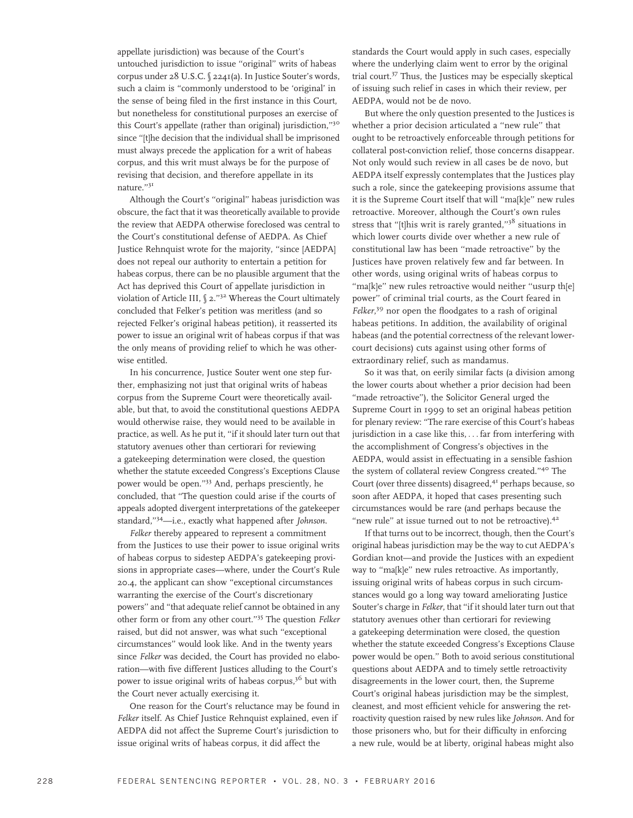appellate jurisdiction) was because of the Court's untouched jurisdiction to issue ''original'' writs of habeas corpus under 28 U.S.C. § 2241(a). In Justice Souter's words, such a claim is ''commonly understood to be 'original' in the sense of being filed in the first instance in this Court, but nonetheless for constitutional purposes an exercise of this Court's appellate (rather than original) jurisdiction,''<sup>30</sup> since ''[t]he decision that the individual shall be imprisoned must always precede the application for a writ of habeas corpus, and this writ must always be for the purpose of revising that decision, and therefore appellate in its nature.''<sup>31</sup>

Although the Court's ''original'' habeas jurisdiction was obscure, the fact that it was theoretically available to provide the review that AEDPA otherwise foreclosed was central to the Court's constitutional defense of AEDPA. As Chief Justice Rehnquist wrote for the majority, "since [AEDPA] does not repeal our authority to entertain a petition for habeas corpus, there can be no plausible argument that the Act has deprived this Court of appellate jurisdiction in violation of Article III, § 2."<sup>32</sup> Whereas the Court ultimately concluded that Felker's petition was meritless (and so rejected Felker's original habeas petition), it reasserted its power to issue an original writ of habeas corpus if that was the only means of providing relief to which he was otherwise entitled.

In his concurrence, Justice Souter went one step further, emphasizing not just that original writs of habeas corpus from the Supreme Court were theoretically available, but that, to avoid the constitutional questions AEDPA would otherwise raise, they would need to be available in practice, as well. As he put it, ''if it should later turn out that statutory avenues other than certiorari for reviewing a gatekeeping determination were closed, the question whether the statute exceeded Congress's Exceptions Clause power would be open.''33 And, perhaps presciently, he concluded, that ''The question could arise if the courts of appeals adopted divergent interpretations of the gatekeeper standard,"<sup>34</sup>—i.e., exactly what happened after Johnson.

Felker thereby appeared to represent a commitment from the Justices to use their power to issue original writs of habeas corpus to sidestep AEDPA's gatekeeping provisions in appropriate cases—where, under the Court's Rule 20.4, the applicant can show ''exceptional circumstances warranting the exercise of the Court's discretionary powers'' and ''that adequate relief cannot be obtained in any other form or from any other court.''35 The question Felker raised, but did not answer, was what such ''exceptional circumstances'' would look like. And in the twenty years since Felker was decided, the Court has provided no elaboration—with five different Justices alluding to the Court's power to issue original writs of habeas corpus, $3^6$  but with the Court never actually exercising it.

One reason for the Court's reluctance may be found in Felker itself. As Chief Justice Rehnquist explained, even if AEDPA did not affect the Supreme Court's jurisdiction to issue original writs of habeas corpus, it did affect the

standards the Court would apply in such cases, especially where the underlying claim went to error by the original trial court.<sup>37</sup> Thus, the Justices may be especially skeptical of issuing such relief in cases in which their review, per AEDPA, would not be de novo.

But where the only question presented to the Justices is whether a prior decision articulated a "new rule" that ought to be retroactively enforceable through petitions for collateral post-conviction relief, those concerns disappear. Not only would such review in all cases be de novo, but AEDPA itself expressly contemplates that the Justices play such a role, since the gatekeeping provisions assume that it is the Supreme Court itself that will ''ma[k]e'' new rules retroactive. Moreover, although the Court's own rules stress that "[t]his writ is rarely granted," $3<sup>8</sup>$  situations in which lower courts divide over whether a new rule of constitutional law has been ''made retroactive'' by the Justices have proven relatively few and far between. In other words, using original writs of habeas corpus to ''ma[k]e'' new rules retroactive would neither ''usurp th[e] power'' of criminal trial courts, as the Court feared in Felker,<sup>39</sup> nor open the floodgates to a rash of original habeas petitions. In addition, the availability of original habeas (and the potential correctness of the relevant lowercourt decisions) cuts against using other forms of extraordinary relief, such as mandamus.

So it was that, on eerily similar facts (a division among the lower courts about whether a prior decision had been "made retroactive"), the Solicitor General urged the Supreme Court in 1999 to set an original habeas petition for plenary review: ''The rare exercise of this Court's habeas jurisdiction in a case like this, ... far from interfering with the accomplishment of Congress's objectives in the AEDPA, would assist in effectuating in a sensible fashion the system of collateral review Congress created."<sup>40</sup> The Court (over three dissents) disagreed, $4<sup>T</sup>$  perhaps because, so soon after AEDPA, it hoped that cases presenting such circumstances would be rare (and perhaps because the "new rule" at issue turned out to not be retroactive).<sup>42</sup>

If that turns out to be incorrect, though, then the Court's original habeas jurisdiction may be the way to cut AEDPA's Gordian knot—and provide the Justices with an expedient way to "ma[k]e" new rules retroactive. As importantly, issuing original writs of habeas corpus in such circumstances would go a long way toward ameliorating Justice Souter's charge in Felker, that ''if it should later turn out that statutory avenues other than certiorari for reviewing a gatekeeping determination were closed, the question whether the statute exceeded Congress's Exceptions Clause power would be open.'' Both to avoid serious constitutional questions about AEDPA and to timely settle retroactivity disagreements in the lower court, then, the Supreme Court's original habeas jurisdiction may be the simplest, cleanest, and most efficient vehicle for answering the retroactivity question raised by new rules like Johnson. And for those prisoners who, but for their difficulty in enforcing a new rule, would be at liberty, original habeas might also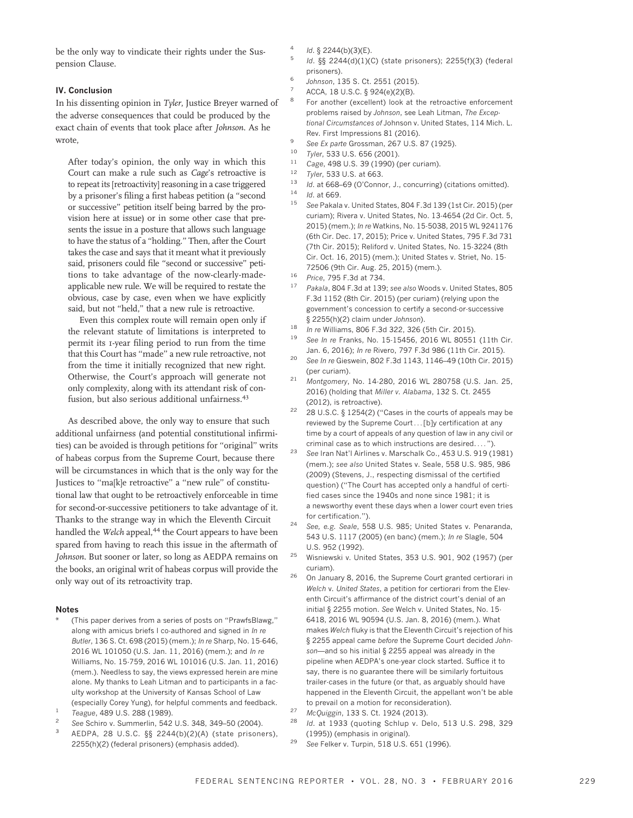be the only way to vindicate their rights under the Suspension Clause.

### IV. Conclusion

In his dissenting opinion in Tyler, Justice Breyer warned of the adverse consequences that could be produced by the exact chain of events that took place after Johnson. As he wrote,

After today's opinion, the only way in which this Court can make a rule such as Cage's retroactive is to repeat its [retroactivity] reasoning in a case triggered by a prisoner's filing a first habeas petition (a ''second or successive'' petition itself being barred by the provision here at issue) or in some other case that presents the issue in a posture that allows such language to have the status of a ''holding.'' Then, after the Court takes the case and says that it meant what it previously said, prisoners could file ''second or successive'' petitions to take advantage of the now-clearly-madeapplicable new rule. We will be required to restate the obvious, case by case, even when we have explicitly said, but not ''held,'' that a new rule is retroactive.

Even this complex route will remain open only if the relevant statute of limitations is interpreted to permit its 1-year filing period to run from the time that this Court has ''made'' a new rule retroactive, not from the time it initially recognized that new right. Otherwise, the Court's approach will generate not only complexity, along with its attendant risk of confusion, but also serious additional unfairness.<sup>43</sup>

As described above, the only way to ensure that such additional unfairness (and potential constitutional infirmities) can be avoided is through petitions for ''original'' writs of habeas corpus from the Supreme Court, because there will be circumstances in which that is the only way for the Justices to ''ma[k]e retroactive'' a ''new rule'' of constitutional law that ought to be retroactively enforceable in time for second-or-successive petitioners to take advantage of it. Thanks to the strange way in which the Eleventh Circuit handled the Welch appeal,<sup>44</sup> the Court appears to have been spared from having to reach this issue in the aftermath of Johnson. But sooner or later, so long as AEDPA remains on the books, an original writ of habeas corpus will provide the only way out of its retroactivity trap.

#### Notes

- (This paper derives from a series of posts on "PrawfsBlawg," along with amicus briefs I co-authored and signed in In re Butler, 136 S. Ct. 698 (2015) (mem.); In re Sharp, No. 15-646, 2016 WL 101050 (U.S. Jan. 11, 2016) (mem.); and In re Williams, No. 15-759, 2016 WL 101016 (U.S. Jan. 11, 2016) (mem.). Needless to say, the views expressed herein are mine alone. My thanks to Leah Litman and to participants in a faculty workshop at the University of Kansas School of Law (especially Corey Yung), for helpful comments and feedback.
- $\frac{1}{2}$  Teague, 489 U.S. 288 (1989).
- See Schiro v. Summerlin, 542 U.S. 348, 349-50 (2004).
- <sup>3</sup> AEDPA, 28 U.S.C. §§ 2244(b)(2)(A) (state prisoners), 2255(h)(2) (federal prisoners) (emphasis added).
- Id. § 2244(b)(3)(E).
- <sup>5</sup> Id. §§ 2244(d)(1)(C) (state prisoners); 2255(f)(3) (federal prisoners).
- <sup>6</sup> Johnson, 135 S. Ct. 2551 (2015).
- $7^7$  ACCA, 18 U.S.C.  $\S$  924(e)(2)(B).
- For another (excellent) look at the retroactive enforcement problems raised by Johnson, see Leah Litman, The Exceptional Circumstances of Johnson v. United States, 114 Mich. L. Rev. First Impressions 81 (2016).
- 9 See Ex parte Grossman, 267 U.S. 87 (1925).
- $\frac{10}{11}$  Tyler, 533 U.S. 656 (2001).
- <sup>11</sup> Cage, 498 U.S. 39 (1990) (per curiam).<br><sup>12</sup> Tyler 533 U.S. at 663
- Tyler, 533 U.S. at 663.
- 13 Id. at 668–69 (O'Connor, J., concurring) (citations omitted).
- $\frac{14}{15}$  *Id.* at 669.
- See Pakala v. United States, 804 F.3d 139 (1st Cir. 2015) (per curiam); Rivera v. United States, No. 13-4654 (2d Cir. Oct. 5, 2015) (mem.); In re Watkins, No. 15-5038, 2015 WL 9241176 (6th Cir. Dec. 17, 2015); Price v. United States, 795 F.3d 731 (7th Cir. 2015); Reliford v. United States, No. 15-3224 (8th Cir. Oct. 16, 2015) (mem.); United States v. Striet, No. 15- 72506 (9th Cir. Aug. 25, 2015) (mem.).
- <sup>16</sup> Price, 795 F.3d at 734.
- <sup>17</sup> Pakala, 804 F.3d at 139; see also Woods v. United States, 805 F.3d 1152 (8th Cir. 2015) (per curiam) (relying upon the government's concession to certify a second-or-successive § 2255(h)(2) claim under Johnson).
- 18 *In re* Williams, 806 F.3d 322, 326 (5th Cir. 2015).
- See In re Franks, No. 15-15456, 2016 WL 80551 (11th Cir. Jan. 6, 2016); In re Rivero, 797 F.3d 986 (11th Cir. 2015).
- <sup>20</sup> See In re Gieswein, 802 F.3d 1143, 1146–49 (10th Cir. 2015) (per curiam).
- <sup>21</sup> Montgomery, No. 14-280, 2016 WL 280758 (U.S. Jan. 25, 2016) (holding that Miller v. Alabama, 132 S. Ct. 2455 (2012), is retroactive).
- <sup>22</sup> 28 U.S.C. § 1254(2) ("Cases in the courts of appeals may be reviewed by the Supreme Court...[b]y certification at any time by a court of appeals of any question of law in any civil or criminal case as to which instructions are desired. ... '').
- <sup>23</sup> See Iran Nat'l Airlines v. Marschalk Co., 453 U.S. 919 (1981) (mem.); see also United States v. Seale, 558 U.S. 985, 986 (2009) (Stevens, J., respecting dismissal of the certified question) ("The Court has accepted only a handful of certified cases since the 1940s and none since 1981; it is a newsworthy event these days when a lower court even tries for certification.'').
- See, e.g. Seale, 558 U.S. 985; United States v. Penaranda, 543 U.S. 1117 (2005) (en banc) (mem.); In re Slagle, 504 U.S. 952 (1992).
- <sup>25</sup> Wisniewski v. United States, 353 U.S. 901, 902 (1957) (per curiam).
- <sup>26</sup> On January 8, 2016, the Supreme Court granted certiorari in Welch v. United States, a petition for certiorari from the Eleventh Circuit's affirmance of the district court's denial of an initial § 2255 motion. See Welch v. United States, No. 15- 6418, 2016 WL 90594 (U.S. Jan. 8, 2016) (mem.). What makes Welch fluky is that the Eleventh Circuit's rejection of his § 2255 appeal came before the Supreme Court decided Johnson—and so his initial § 2255 appeal was already in the pipeline when AEDPA's one-year clock started. Suffice it to say, there is no guarantee there will be similarly fortuitous trailer-cases in the future (or that, as arguably should have happened in the Eleventh Circuit, the appellant won't be able to prevail on a motion for reconsideration).
- <sup>27</sup> McQuiggin, 133 S. Ct. 1924 (2013).
	- Id. at 1933 (quoting Schlup v. Delo, 513 U.S. 298, 329 (1995)) (emphasis in original).
- <sup>29</sup> See Felker v. Turpin, 518 U.S. 651 (1996).